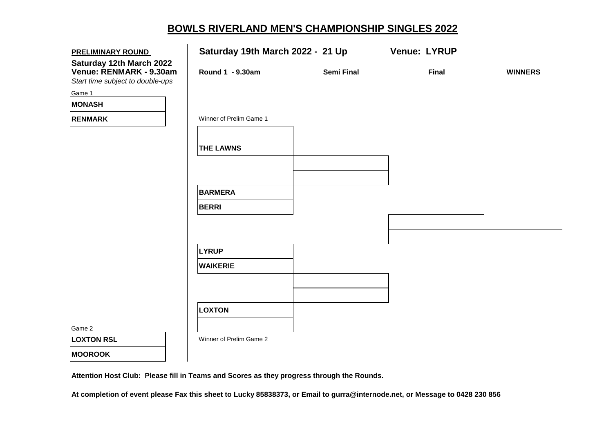## **BOWLS RIVERLAND MEN'S CHAMPIONSHIP SINGLES 2022**

| <b>PRELIMINARY ROUND</b>                                                                | Saturday 19th March 2022 - 21 Up |                   | Venue: LYRUP |                |
|-----------------------------------------------------------------------------------------|----------------------------------|-------------------|--------------|----------------|
| Saturday 12th March 2022<br>Venue: RENMARK - 9.30am<br>Start time subject to double-ups | Round 1 - 9.30am                 | <b>Semi Final</b> | <b>Final</b> | <b>WINNERS</b> |
| Game 1                                                                                  |                                  |                   |              |                |
| <b>MONASH</b>                                                                           |                                  |                   |              |                |
| <b>RENMARK</b>                                                                          | Winner of Prelim Game 1          |                   |              |                |
|                                                                                         |                                  |                   |              |                |
|                                                                                         | <b>THE LAWNS</b>                 |                   |              |                |
|                                                                                         |                                  |                   |              |                |
|                                                                                         |                                  |                   |              |                |
|                                                                                         | <b>BARMERA</b>                   |                   |              |                |
|                                                                                         | <b>BERRI</b>                     |                   |              |                |
|                                                                                         |                                  |                   |              |                |
|                                                                                         |                                  |                   |              |                |
|                                                                                         | <b>LYRUP</b>                     |                   |              |                |
|                                                                                         | <b>WAIKERIE</b>                  |                   |              |                |
|                                                                                         |                                  |                   |              |                |
|                                                                                         |                                  |                   |              |                |
|                                                                                         | <b>LOXTON</b>                    |                   |              |                |
| Game 2                                                                                  |                                  |                   |              |                |
| <b>LOXTON RSL</b>                                                                       | Winner of Prelim Game 2          |                   |              |                |
| <b>MOOROOK</b>                                                                          |                                  |                   |              |                |

**Attention Host Club: Please fill in Teams and Scores as they progress through the Rounds.**

**At completion of event please Fax this sheet to Lucky 85838373, or Email to gurra@internode.net, or Message to 0428 230 856**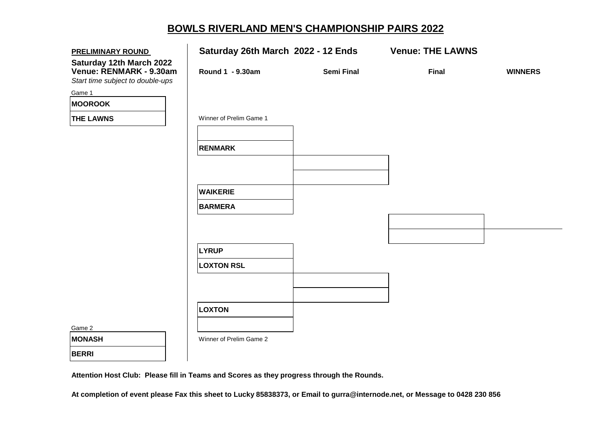## **BOWLS RIVERLAND MEN'S CHAMPIONSHIP PAIRS 2022**

| <b>PRELIMINARY ROUND</b>                                                                | Saturday 26th March 2022 - 12 Ends Venue: THE LAWNS |                   |       |                |
|-----------------------------------------------------------------------------------------|-----------------------------------------------------|-------------------|-------|----------------|
| Saturday 12th March 2022<br>Venue: RENMARK - 9.30am<br>Start time subject to double-ups | Round 1 - 9.30am                                    | <b>Semi Final</b> | Final | <b>WINNERS</b> |
| Game 1                                                                                  |                                                     |                   |       |                |
| <b>MOOROOK</b>                                                                          |                                                     |                   |       |                |
| <b>THE LAWNS</b>                                                                        | Winner of Prelim Game 1                             |                   |       |                |
|                                                                                         | <b>RENMARK</b>                                      |                   |       |                |
|                                                                                         |                                                     |                   |       |                |
|                                                                                         | <b>WAIKERIE</b>                                     |                   |       |                |
|                                                                                         | <b>BARMERA</b>                                      |                   |       |                |
|                                                                                         |                                                     |                   |       |                |
|                                                                                         | <b>LYRUP</b>                                        |                   |       |                |
|                                                                                         | <b>LOXTON RSL</b>                                   |                   |       |                |
|                                                                                         |                                                     |                   |       |                |
|                                                                                         |                                                     |                   |       |                |
|                                                                                         | <b>LOXTON</b>                                       |                   |       |                |
| Game 2                                                                                  |                                                     |                   |       |                |
| <b>MONASH</b>                                                                           | Winner of Prelim Game 2                             |                   |       |                |
| <b>BERRI</b>                                                                            |                                                     |                   |       |                |

**Attention Host Club: Please fill in Teams and Scores as they progress through the Rounds.**

**At completion of event please Fax this sheet to Lucky 85838373, or Email to gurra@internode.net, or Message to 0428 230 856**